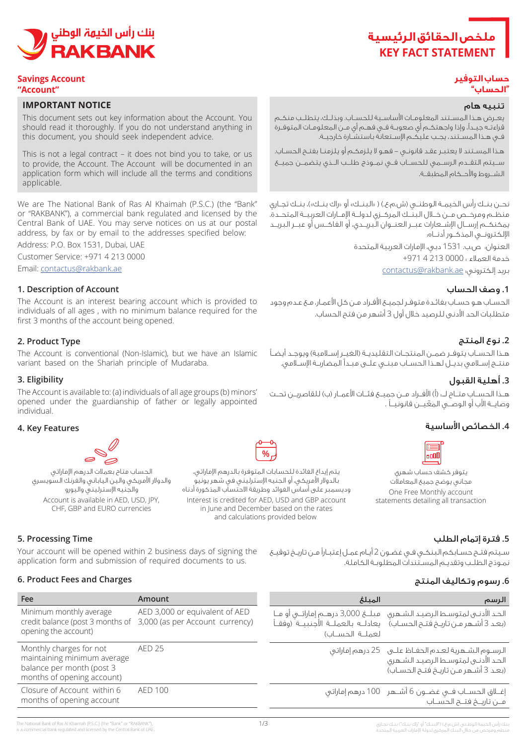

#### **Savings Account "Account"**

#### **IMPORTANT NOTICE**

This document sets out key information about the Account. You should read it thoroughly. If you do not understand anything in this document, you should seek independent advice.

This is not a legal contract – it does not bind you to take, or us to provide, the Account. The Account will be documented in an application form which will include all the terms and conditions .applicable

We are The National Bank of Ras Al Khaimah (P.S.C.) (the "Bank" or "RAKBANK"), a commercial bank regulated and licensed by the Central Bank of UAE. You may serve notices on us at our postal address, by fax or by email to the addresses specified below:

Address: P.O. Box 1531, Dubai, UAE

Customer Service: +971 4 213 0000

Email: contactus@rakbank.ae

#### **1. Description of Account**

The Account is an interest bearing account which is provided to individuals of all ages, with no minimum balance required for the first 3 months of the account being opened.

## **2. Product Type**

The Account is conventional (Non-Islamic), but we have an Islamic variant based on the Shariah principle of Mudaraba.

#### **Eligibility 3.**

The Account is available to: (a) individuals of all age groups (b) minors' opened under the guardianship of father or legally appointed .individual

#### **4. Key Features**



الحساب متاح بعملات الدرهم الإماراتي والدولار الأمريكي والين الياباني والفرنك السويسري والجنيه الإسترليني واليورو<br>Account is available in AED, USD, IPY, CHF, GBP and EURO currencies



يتم إيداع الفائدة للحسابات المتوفرة بالدرهم الإماراتي، بالدولار الأمريكي، أو الجنيه الإسترليني في شهر يونيو وديسمبر على أساس الفوائد وطريقة الاحتساب المذكورة أدناه Account is available in AED, USD, JPY, whiterest is credited for AED, USD and GBP account statements detailing all transaction in June and December based on the rates and calculations provided below



#### **حساب التوفير "الحساب"**

## تنبيه هام

يعــرض هــذا المســتند المعلومــات األساســية للحســاب. وبذلــك، يتطلــب منكــم قراءتـه جيـدًا، وإذا واجهتكـم أي صعوبـة فـي فهـم أي مـن المعلومـات المتوفـرة فـي هـذا المسـتند، يجـب عليكـم اإلسـتعانة باستشـارة خارجيـة.

هـذا المسـتند ال يعتبـر عقـد قانونـي - فهـو ال يلزمكـم أو يلزمنـا بفتـح الحسـاب. ســيتم التقــدم الرســمي للحســاب فــي نمــوذج طلــب الــذي يتضمــن جميــع الشــروط واألحــكام المطبقــة.

نحــن بنــك رأس الخيمــة الوطنــي (ش.م.ع.) ( «البنــك» أو «راك بنــك»)، بنــك تجــاري منظــم ومرخــص مــن خــال البنــك المركــزي لدولــة اإلمــارات العربيــة المتحــدة. يمكنكــم إرســال اإلشــعارات عبــر العنــوان البريــدي، أو الفاكــس أو عبــر البريــد اإللكترونــي المذكــور أدنــاه:

> العنوان: ص.ب. 1531 دبي، اإلمارات العربية المتحدة خدمة العمالء : 0000 213 4 +971 بريد إلكتروني: ae.rakbank@contactus

### **.1** وصف الحساب

الحسـاب هـو حسـاب بفائـدة متوفـر لجميـع األفـراد مـن كل األعمـار، مـع عـدم وجود متطلبات الحد األدنى للرصيد خالل أول 3 أشهر من فتح الحساب.

## **.2** نوع المنتج

هـذا الحسـاب يتوفـر ضمـن المنتجـات التقليديـة (الغيـر إسـلامية) ويوجـد أيضـاً منتـج إسـامي بديـل لهـذا الحسـاب مبنـي علـى مبـدأ المضاربـة اإلسـامي.

## **.3** أهلية القبول

هــذا الحســاب متــاح لـــ: (أ) الأفــراد مــن جميــع فئــات الأعمــار (ب) للقاصريــن تحــت وصايــة الأب أو الوصــي المعّيــن قانونيــاً .

سـيتم فتـح حسـابكم البنكـي فـي غضـون 2 أيـام عمـل إعتبـارًا مـن تاريـخ توقيـع

## **.4** الخصائص األساسية

**.5** فترة إتمام الطلب

**.6** رسوم وتكاليف المنتج



يتوفر كشف حساب شهري مجاني يوضح جميع المعاملات One Free Monthly account<br>statements detailing all transaction

نمـوذج الطلـب وتقديـم المسـتندات المطلوبـة الكاملة.

## **5. Processing Time**

Your account will be opened within 2 business days of signing the application form and submission of required documents to us.

#### **6. Product Fees and Charges**

| Fee                                                                                                               | Amount                                                                                             | المىلغ          | الرسم                                                                                                                                                                       |
|-------------------------------------------------------------------------------------------------------------------|----------------------------------------------------------------------------------------------------|-----------------|-----------------------------------------------------------------------------------------------------------------------------------------------------------------------------|
| Minimum monthly average<br>opening the account)                                                                   | AED 3,000 or equivalent of AED<br>credit balance (post 3 months of 3,000 (as per Account currency) | لعملية الحسيان) | الحد الأدنـي لمتوسـط الرصيـد الشـهري _ مبـلــغ 3,000 درهــم إماراتــي أو مــا<br>(بعد 3 أشـمر مــر) تاريــم فتــم الـحســاب)      يعادلــه  بالعملــة  الأجـنبيــة  (وفقــأ |
| Monthly charges for not<br>maintaining minimum average<br>balance per month (post 3<br>months of opening account) | <b>AED 25</b>                                                                                      |                 | الرسوم الشـهرية لعـدم الحفـاظ علــي 25 درهم إماراتي<br>الحد الأدنىى لمتوسط الرصيد الشهرى<br>(بعد 3 أشهر مـن تاريـخ فتـم الحسـاب)                                            |
| Closure of Account within 6<br>months of opening account                                                          | AFD 100                                                                                            |                 | إغــلاق الحســاب فــي غضــون 6 أشـــهـر _ 100 درهم إماراتي<br>مـن تاريــخ فتــح الحســاب                                                                                    |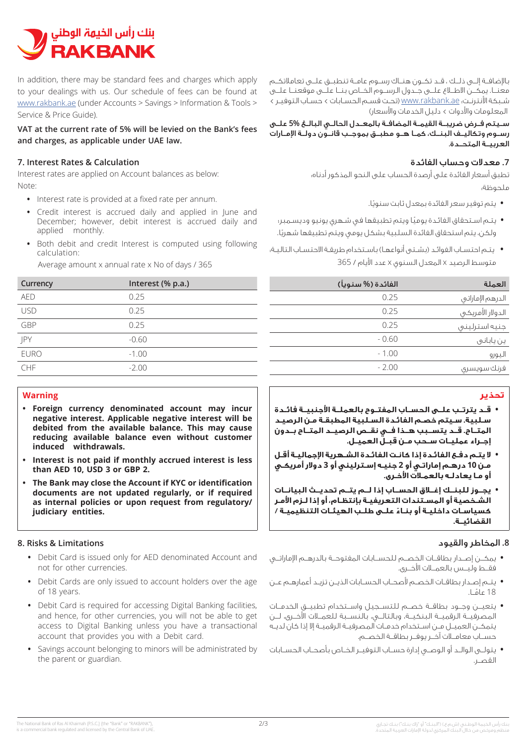

In addition, there may be standard fees and charges which apply to your dealings with us. Our schedule of fees can be found at www.rakbank.ae (under Accounts > Savings > Information & Tools > Service & Price Guide)

## VAT at the current rate of 5% will be levied on the Bank's fees and charges, as applicable under UAE law.

## **Z** Interest Rates & Calculation

Interest rates are applied on Account balances as below: Note:

- Interest rate is provided at a fixed rate per annum.
- Credit interest is accrued daily and applied in lune and December: however, debit interest is accrued daily and applied monthly.
- Both debit and credit Interest is computed using following :calculation

Average amount x annual rate x No of days / 365

| Currency    | Interest (% p.a.) | نويآ |
|-------------|-------------------|------|
| <b>AED</b>  | 0.25              |      |
| <b>USD</b>  | 0.25              |      |
| GBP         | 0.25              |      |
| JPY         | $-0.60$           |      |
| <b>EURO</b> | $-1.00$           |      |
| CHF         | $-2.00$           |      |

## **Warning**

- **Foreign currency denominated account may incur** negative interest. Applicable negative interest will be debited from the available balance. This may cause reducing available balance even without customer **induced** withdrawals.
- **•** Interest is not paid if monthly accrued interest is less **than AED 10, USD 3 or GBP 2.**
- The Bank may close the Account if KYC or identification documents are not updated regularly, or if required as internal policies or upon request from regulatory/ judiciary entities.

## **8. Risks & Limitations**

- Debit Card is issued only for AED denominated Account and not for other currencies.
- Debit Cards are only issued to account holders over the age of 18 years.
- Debit Card is required for accessing Digital Banking facilities. and hence, for other currencies, you will not be able to get access to Digital Banking unless you have a transactional account that provides you with a Debit card.
- Savings account belonging to minors will be administrated by the parent or guardian.

باإلضافــة إلــى ذلــك ، قــد تكــون هنــاك رســوم عامــة تنطبــق علــى تعامالتكــم معنــا. يمكــن االطــاع علــى جــدول الرســوم الخــاص بنــا علــى موقعنــا علــى شـبكة األنترنـت: ae.rakbank.www( تحـت قسـم الحسـابات < حسـاب التوفيـر < المعلومات واألدوات < دليل الخدمات واألسعار(

ســيتم فــرض ضريبــة القيمــة المضافــة بالمعــدل الحالــي البالــغ **5%** علــى رســوم وتكاليــف البنــك، كمــا هــو مطبــق بموجــب قانــون دولــة اإلمــارات العربيــة المتحــدة.

## **.7** معدالت وحساب الفائدة

تطبق أسعار الفائدة على أرصدة الحساب على النحو المذكور أدناه: ملحوظة:

- **•** ً يتم توفير سعر الفائدة بمعدل ثابت سنويا.
- **•** ً يتـم اسـتحقاق الفائـدة يوميا ويتم تطبيقها في شـهري يونيو وديسـمبر؛ ولكن، يتم استحقاق الفائدة السلبية بشكل يومي ويتم تطبيقها شهريًا.
- **•** يتـم احتسـاب الفوائـد )بشـتى أنواعهـا( باسـتخدام طريقـة االحتسـاب التاليـة: متوسط الرصيد x المعدل السنوي x عدد األيام / 365

| العملة           | الفائدة (% سنوياً) |
|------------------|--------------------|
| الدرهم الإماراتي | 0.25               |
| الدولار الأمريكي | 0.25               |
| جنيه استرلينى    | 0.25               |
| ين ياباني        | $-0.60$            |
| اليورو           | $-1.00$            |
| فرنك سويسرى      | $-2.00$            |

# **تحذير**

- **• قــد يترتــب علــى الحســاب المفتــوح بالعملــة األجنبيــة فائــدة سـلبية. سـيتم خصـم الفائـدة السـلبية المطبقـة مـن الرصيـد المتــاح. قــد يتســبب هــذا فــي نقــص الرصيــد المتــاح بــدون إجــراء عمليــات ســحب مــن قبــل العميــل.**
- **• ال يتـم دفـع الفائـدة إذا كانـت الفائـدة الشـهرية اإلجماليـة أقـل مـن 10 درهـم إماراتـي أو 2 جنيـه إسـترليني أو 3 دوالر أمريكـي أو مـا يعادلـه بالعمـات األخـرى.**
- **• يجــوز للبنــك إغــاق الحســاب إذا لــم يتــم تحديــث البيانــات الشـخصية أو المسـتندات التعريفيـة بإنتظـام، أو إذا لـزم األمـر ً كسياسـات داخليـة أو بنـاء علـى طلـب الهيئـات التنظيميـة / القضائيــة.**

## **.8** المخاطر والقيود

- **•** يمكــن إصــدار بطاقــات الخصــم للحســابات المفتوحــة بالدرهــم اإلماراتــي فقــط وليــس بالعمــات األخــرى.
- **•** يتــم إصــدار بطاقــات الخصــم ألصحــاب الحســابات الذيــن تزيــد أعمارهــم عــن 18 ً عامــا.
- **•** يتعيــن وجــود بطاقــة خصــم للتســجيل واســتخدام تطبيــق الخدمــات المصرفيــة الرقميــة البنكيــة، وبالتالــي، بالنســبة للعمــات األخــرى، لــن يتمكـن العميـل مـن اسـتخدام خدمـات المصرفيـة الرقميـة إال إذا كان لديـه حســاب معامــات آخــر يوفــر بطاقــة الخصــم.
- **•** يتولــى الوالــد أو الوصــي إدارة حســاب التوفيــر الخــاص بأصحــاب الحســابات القصــر.